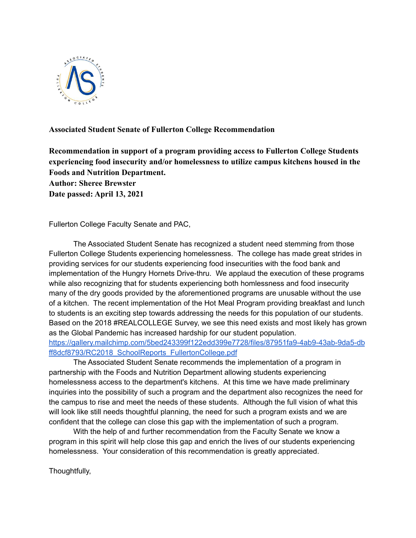

## **Associated Student Senate of Fullerton College Recommendation**

**Recommendation in support of a program providing access to Fullerton College Students experiencing food insecurity and/or homelessness to utilize campus kitchens housed in the Foods and Nutrition Department.**

**Author: Sheree Brewster Date passed: April 13, 2021**

Fullerton College Faculty Senate and PAC,

The Associated Student Senate has recognized a student need stemming from those Fullerton College Students experiencing homelessness. The college has made great strides in providing services for our students experiencing food insecurities with the food bank and implementation of the Hungry Hornets Drive-thru. We applaud the execution of these programs while also recognizing that for students experiencing both homlessness and food insecurity many of the dry goods provided by the aforementioned programs are unusable without the use of a kitchen. The recent implementation of the Hot Meal Program providing breakfast and lunch to students is an exciting step towards addressing the needs for this population of our students. Based on the 2018 #REALCOLLEGE Survey, we see this need exists and most likely has grown as the Global Pandemic has increased hardship for our student population.

[https://gallery.mailchimp.com/5bed243399f122edd399e7728/files/87951fa9-4ab9-43ab-9da5-db](https://gallery.mailchimp.com/5bed243399f122edd399e7728/files/87951fa9-4ab9-43ab-9da5-dbff8dcf8793/RC2018_SchoolReports_FullertonCollege.pdf) [ff8dcf8793/RC2018\\_SchoolReports\\_FullertonCollege.pdf](https://gallery.mailchimp.com/5bed243399f122edd399e7728/files/87951fa9-4ab9-43ab-9da5-dbff8dcf8793/RC2018_SchoolReports_FullertonCollege.pdf)

The Associated Student Senate recommends the implementation of a program in partnership with the Foods and Nutrition Department allowing students experiencing homelessness access to the department's kitchens. At this time we have made preliminary inquiries into the possibility of such a program and the department also recognizes the need for the campus to rise and meet the needs of these students. Although the full vision of what this will look like still needs thoughtful planning, the need for such a program exists and we are confident that the college can close this gap with the implementation of such a program.

With the help of and further recommendation from the Faculty Senate we know a program in this spirit will help close this gap and enrich the lives of our students experiencing homelessness. Your consideration of this recommendation is greatly appreciated.

Thoughtfully,